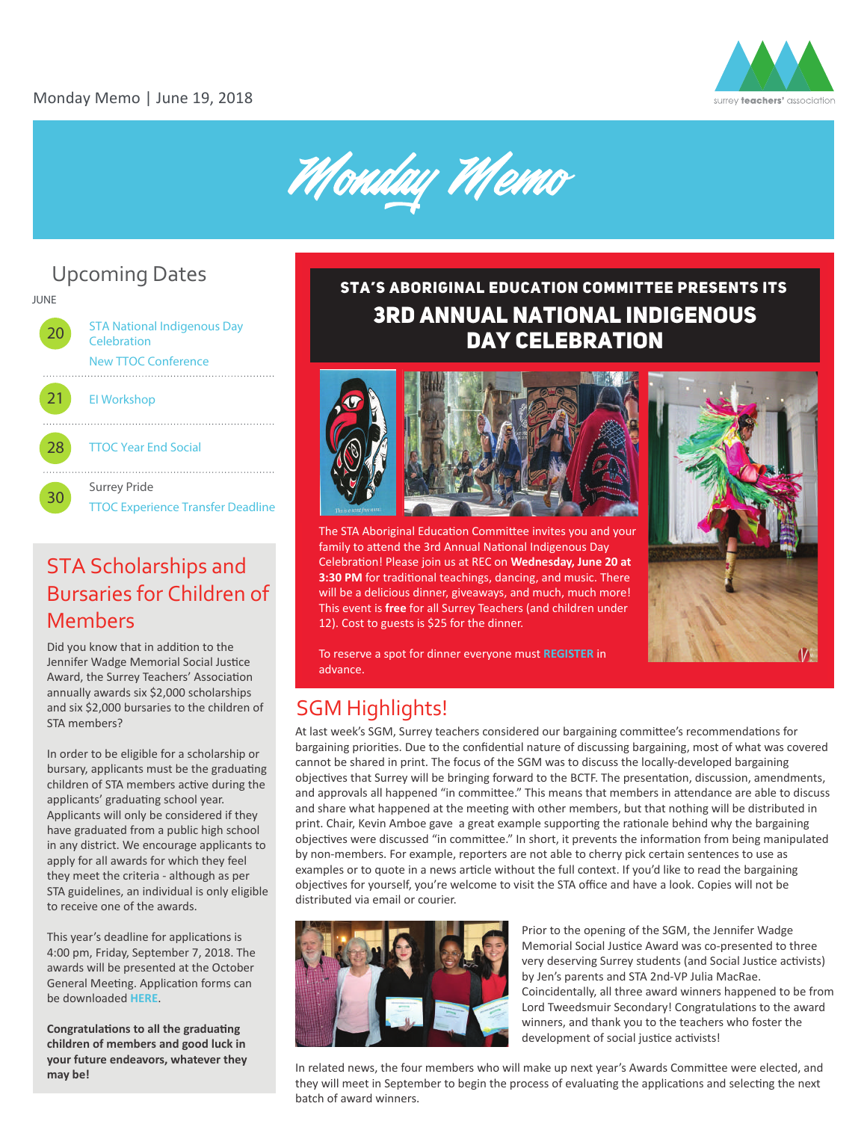



# Upcoming Dates



#### **&ŽƌŵŽƌĞŝŶĨŽƌŵĂƟŽŶ͕ĐŽŶƚĂĐƚĂƌŽůLJŶ Bursaries for Children of Straig &** STA Scholarships and Members

Did you know that in addition to the Jennifer Wadge Memorial Social Justice Award, the Surrey Teachers' Association annually awards six \$2,000 scholarships and six \$2,000 bursaries to the children of STA members?

In order to be eligible for a scholarship or bursary, applicants must be the graduating children of STA members active during the applicants' graduating school year. Applicants will only be considered if they have graduated from a public high school in any district. We encourage applicants to apply for all awards for which they feel they meet the criteria - although as per STA guidelines, an individual is only eligible to receive one of the awards.

This year's deadline for applications is 4:00 pm, Friday, September 7, 2018. The awards will be presented at the October General Meeting. Application forms can be downloaded **[HERE](http://www.surreyteachers.org/publications-resources/forms/)**.

**Congratulations to all the graduating children of members and good luck in your future endeavors, whatever they may be!** 

#### India India Provincia Day Celebration and Celebration 3RD ANNUAL NATIONAL INDIGENOUS **DAY CELEBRATION** STA's Aboriginal Education Committee Presents its

3rd Annual national



The STA Aboriginal Education Committee invites you and your **S** pm - 7:30 pm - 7:30 pm - 7:30 pm - 7:30 pm - 7:30 pm - 7:30 pm - 7:30 pm - 7:30 pm - 7:30 pm - 7:30 pm - 7:30 pm - 7:30 pm - 7:30 pm - 7:30 pm - 7:30 pm - 7:30 pm - 7:30 pm - 7:30 pm - 7:30 pm - 7:30 pm - 7:30 pm - 7:3 Celebration! Please join us at REC on **Wednesday, June 20 at E 1131 HPS** CITCH **SAMPLE 13:30 PM** for traditional teachings, dancing, and music. There will be a delicious dinner, giveaways, and much, much more! This event is **free** for all Surrey Teachers (and children under 12). Cost to guests is \$25 for the dinner.



To reserve a spot for dinner everyone must [REGISTER](https://nationalindigenousday-june2018.eventbrite.ca) in advance.

**dŽƌĞŐŝƐƚĞƌ͕ŐŽƚŽ͗**

#### SGM Highlights! **ŚƩƉƐ͗ͬͬŶĂƟŽŶĂůŝŶĚŝŐĞŶŽƵƐĚĂLJͲũƵŶĞϮϬϭϴ͘ĞǀĞŶƚďƌŝƚĞ͘ĐĂ 'ƵĞƐƚƐĂƌĞǁĞůĐŽŵĞƚŽƌĞŐŝƐƚĞƌĂƚƚŚĞĐŽƐƚŽĨΨϮϱ͘ϬϬ**

At last week's SGM, Surrey teachers considered our bargaining committee's recommendations for bargaining priorities. Due to the confidential nature of discussing bargaining, most of what was covered **Existening profites.** But to the connuction initial evideosing bargaining, most of what was connot be shared in print. The focus of the SGM was to discuss the locally-developed bargaining objectives that Surrey will be bringing forward to the BCTF. The presentation, discussion, amendments, and approvals all happened "in committee." This means that members in attendance are able to discuss and share what happened at the meeting with other members, but that nothing will be distributed in print. Chair, Kevin Amboe gave a great example supporting the rationale behind why the bargaining objectives were discussed "in committee." In short, it prevents the information from being manipulated by non-members. For example, reporters are not able to cherry pick certain sentences to use as examples or to quote in a news article without the full context. If you'd like to read the bargaining objectives for yourself, you're welcome to visit the STA office and have a look. Copies will not be distributed via email or courier.  $\beta$ brint. The focus of the 3<sup>0</sup>



Prior to the opening of the SGM, the Jennifer Wadge Memorial Social Justice Award was co-presented to three very deserving Surrey students (and Social Justice activists) by Jen's parents and STA 2nd-VP Julia MacRae. Coincidentally, all three award winners happened to be from Lord Tweedsmuir Secondary! Congratulations to the award winners, and thank you to the teachers who foster the development of social justice activists!

In related news, the four members who will make up next year's Awards Committee were elected, and they will meet in September to begin the process of evaluating the applications and selecting the next batch of award winners.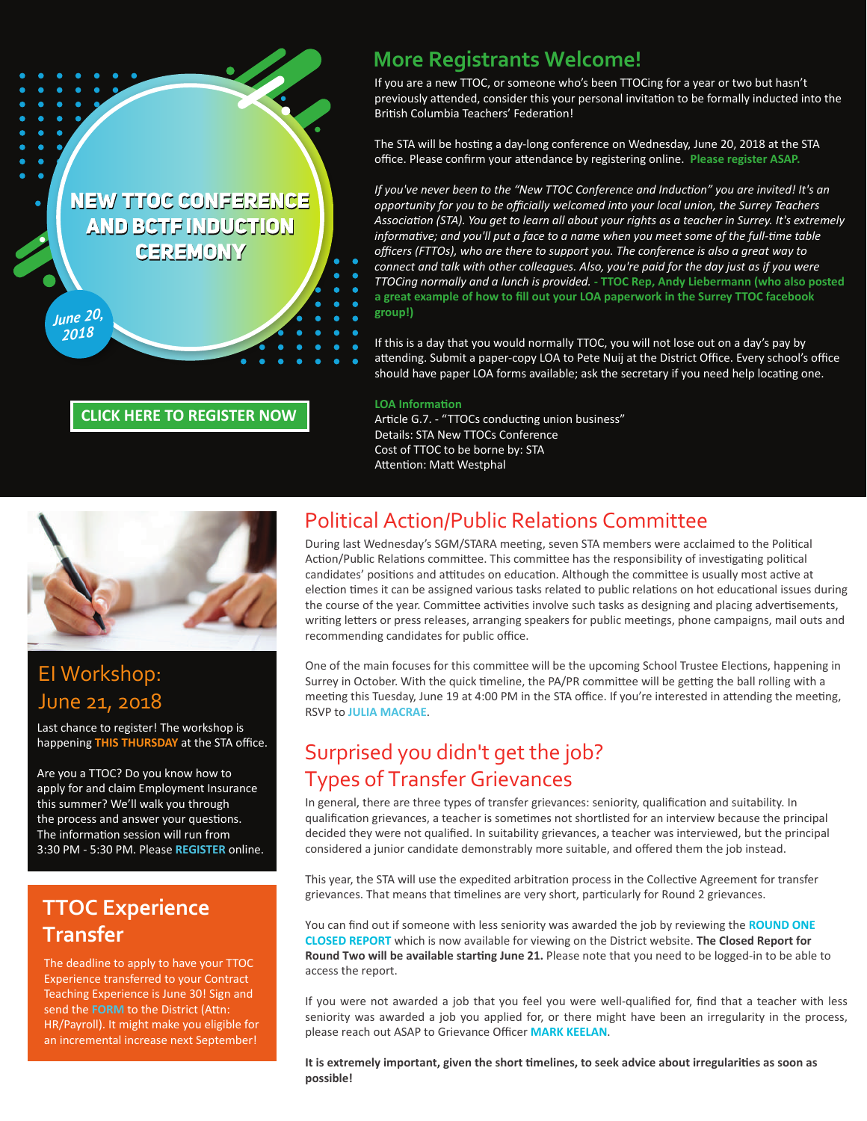**NEW TTOC CONFERENCE AND BCTF INDUCTION CEREMONY** 

#### **[CLICK HERE TO REGISTER NOW](https://newttocsconference-june2018.eventbrite.ca)**

#### **More Registrants Welcome!**

If you are a new TTOC, or someone who's been TTOCing for a year or two but hasn't previously attended, consider this your personal invitation to be formally inducted into the British Columbia Teachers' Federation!

The STA will be hosting a day-long conference on Wednesday, June 20, 2018 at the STA office. Please confirm your a�endance by registering online. **Please register ASAP.**

*If you've never been to the "New TTOC Conference and Induction" you are invited! It's an opportunity for you to be officially welcomed into your local union, the Surrey Teachers Association (STA). You get to learn all about your rights as a teacher in Surrey. It's extremely informative; and you'll put a face to a name when you meet some of the full-time table officers (FTTOs), who are there to support you. The conference is also a great way to connect and talk with other colleagues. Also, you're paid for the day just as if you were TTOCing normally and a lunch is provided.* **- TTOC Rep, Andy Liebermann (who also posted a great example of how to fill out your LOA paperwork in the Surrey TTOC facebook group!)**

If this is a day that you would normally TTOC, you will not lose out on a day's pay by attending. Submit a paper-copy LOA to Pete Nuij at the District Office. Every school's office should have paper LOA forms available; ask the secretary if you need help locating one.

#### **LOA Information**

Article G.7. - "TTOCs conducting union business" Details: STA New TTOCs Conference Cost of TTOC to be borne by: STA Attention: Matt Westphal



#### EI Workshop: June 21, 2018

*June 20, 2018*

Last chance to register! The workshop is happening **THIS THURSDAY** at the STA office.

Are you a TTOC? Do you know how to apply for and claim Employment Insurance this summer? We'll walk you through the process and answer your questions. The information session will run from 3:30 PM - 5:30 PM. Please **[REGISTER](https://eiworkshop-june2018.eventbrite.ca)** online.

## **TTOC Experience Transfer**

The deadline to apply to have your TTOC Experience transferred to your Contract Teaching Experience is June 30! Sign and send the **[FORM](http://www.surreyteachers.org/documents/Forms/TTOCTransferRequestForm-June.pdf)** to the District (Attn: HR/Payroll). It might make you eligible for an incremental increase next September!

## Political Action/Public Relations Committee

During last Wednesday's SGM/STARA meeting, seven STA members were acclaimed to the Political Action/Public Relations committee. This committee has the responsibility of investigating political candidates' positions and attitudes on education. Although the committee is usually most active at election times it can be assigned various tasks related to public relations on hot educational issues during the course of the year. Committee activities involve such tasks as designing and placing advertisements, writing letters or press releases, arranging speakers for public meetings, phone campaigns, mail outs and recommending candidates for public office.

One of the main focuses for this committee will be the upcoming School Trustee Elections, happening in Surrey in October. With the quick timeline, the PA/PR committee will be getting the ball rolling with a meeting this Tuesday, June 19 at 4:00 PM in the STA office. If you're interested in attending the meeting, RSVP to **[JULIA MACRAE](mailto:2-vp@surreyteachers.org)**.

# Surprised you didn't get the job? Types of Transfer Grievances

In general, there are three types of transfer grievances: seniority, qualification and suitability. In qualification grievances, a teacher is sometimes not shortlisted for an interview because the principal decided they were not qualified. In suitability grievances, a teacher was interviewed, but the principal considered a junior candidate demonstrably more suitable, and offered them the job instead.

This year, the STA will use the expedited arbitration process in the Collective Agreement for transfer grievances. That means that timelines are very short, particularly for Round 2 grievances.

You can find out if someone with less seniority was awarded the job by reviewing the **[ROUND ONE](https://www.surreyschools.ca/departments/HRES/Teachers/TransferInformation/Documents/2018-19%20Closed%20Report%20-%20Round%201.pdf)  [CLOSED REPORT](https://www.surreyschools.ca/departments/HRES/Teachers/TransferInformation/Documents/2018-19%20Closed%20Report%20-%20Round%201.pdf)** which is now available for viewing on the District website. **The Closed Report for**  Round Two will be available starting June 21. Please note that you need to be logged-in to be able to access the report.

If you were not awarded a job that you feel you were well-qualified for, find that a teacher with less seniority was awarded a job you applied for, or there might have been an irregularity in the process, please reach out ASAP to Grievance Officer **[MARK KEELAN](mailto:grieve@surreyteachers.org)**.

It is extremely important, given the short timelines, to seek advice about irregularities as soon as **possible!**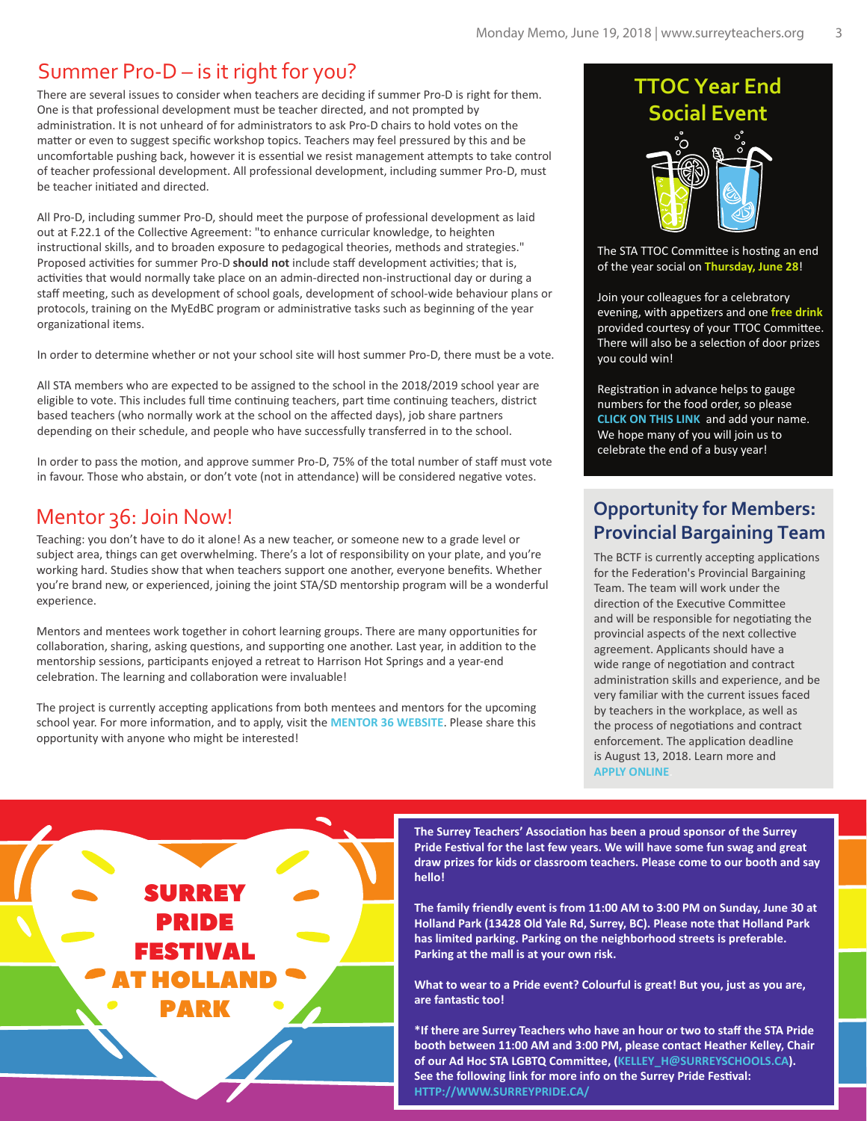## Summer Pro-D – is it right for you?

There are several issues to consider when teachers are deciding if summer Pro-D is right for them. One is that professional development must be teacher directed, and not prompted by administration. It is not unheard of for administrators to ask Pro-D chairs to hold votes on the matter or even to suggest specific workshop topics. Teachers may feel pressured by this and be uncomfortable pushing back, however it is essential we resist management attempts to take control of teacher professional development. All professional development, including summer Pro-D, must be teacher ini�ated and directed.

All Pro-D, including summer Pro-D, should meet the purpose of professional development as laid out at F.22.1 of the Collective Agreement: "to enhance curricular knowledge, to heighten instructional skills, and to broaden exposure to pedagogical theories, methods and strategies." Proposed activities for summer Pro-D should not include staff development activities; that is, activities that would normally take place on an admin-directed non-instructional day or during a staff meeting, such as development of school goals, development of school-wide behaviour plans or protocols, training on the MyEdBC program or administrative tasks such as beginning of the year organizational items.

In order to determine whether or not your school site will host summer Pro-D, there must be a vote.

All STA members who are expected to be assigned to the school in the 2018/2019 school year are eligible to vote. This includes full time continuing teachers, part time continuing teachers, district based teachers (who normally work at the school on the affected days), job share partners depending on their schedule, and people who have successfully transferred in to the school.

In order to pass the motion, and approve summer Pro-D, 75% of the total number of staff must vote in favour. Those who abstain, or don't vote (not in attendance) will be considered negative votes.

#### Mentor 36: Join Now!

Teaching: you don't have to do it alone! As a new teacher, or someone new to a grade level or subject area, things can get overwhelming. There's a lot of responsibility on your plate, and you're working hard. Studies show that when teachers support one another, everyone benefits. Whether you're brand new, or experienced, joining the joint STA/SD mentorship program will be a wonderful experience.

Mentors and mentees work together in cohort learning groups. There are many opportunities for collaboration, sharing, asking questions, and supporting one another. Last year, in addition to the mentorship sessions, par�cipants enjoyed a retreat to Harrison Hot Springs and a year-end celebration. The learning and collaboration were invaluable!

The project is currently accepting applications from both mentees and mentors for the upcoming school year. For more information, and to apply, visit the **[MENTOR 36 WEBSITE](https://mentor36.com/)**. Please share this opportunity with anyone who might be interested!

> SURREY PRIDE FESTIVAL

AT HOLLAND

PARK

# **TTOC Year End Social Event**

The STA TTOC Committee is hosting an end of the year social on **Thursday, June 28**!

Join your colleagues for a celebratory evening, with appe�zers and one **free drink** provided courtesy of your TTOC Committee. There will also be a selection of door prizes you could win!

Registration in advance helps to gauge numbers for the food order, so please **[CLICK ON THIS LINK](https://ttoc-yearendsocial-june2018.eventbrite.ca)** and add your name. We hope many of you will join us to celebrate the end of a busy year!

#### **Opportunity for Members: Provincial Bargaining Team**

The BCTF is currently accepting applications for the Federation's Provincial Bargaining Team. The team will work under the direction of the Executive Committee and will be responsible for negotiating the provincial aspects of the next collective agreement. Applicants should have a wide range of negotiation and contract administration skills and experience, and be very familiar with the current issues faced by teachers in the workplace, as well as the process of negotiations and contract enforcement. The application deadline is August 13, 2018. Learn more and **[APPLY ONLINE](http://www.bctf.ca/opportunities/BCTFCommittees.aspx)**.

The Surrey Teachers' Association has been a proud sponsor of the Surrey Pride Festival for the last few years. We will have some fun swag and great **draw prizes for kids or classroom teachers. Please come to our booth and say hello!**

**The family friendly event is from 11:00 AM to 3:00 PM on Sunday, June 30 at Holland Park (13428 Old Yale Rd, Surrey, BC). Please note that Holland Park has limited parking. Parking on the neighborhood streets is preferable. Parking at the mall is at your own risk.**

**What to wear to a Pride event? Colourful is great! But you, just as you are, are fantas�c too!** 

**\*If there are Surrey Teachers who have an hour or two to staff the STA Pride booth between 11:00 AM and 3:00 PM, please contact Heather Kelley, Chair of our Ad Hoc STA LGBTQ Commi�ee, (KELLEY\_H@SURREYSCHOOLS.CA).** See the following link for more info on the Surrey Pride Festival: **[HTTP://WWW.SURREYPRIDE.CA/](http://www.surreypride.ca/)**